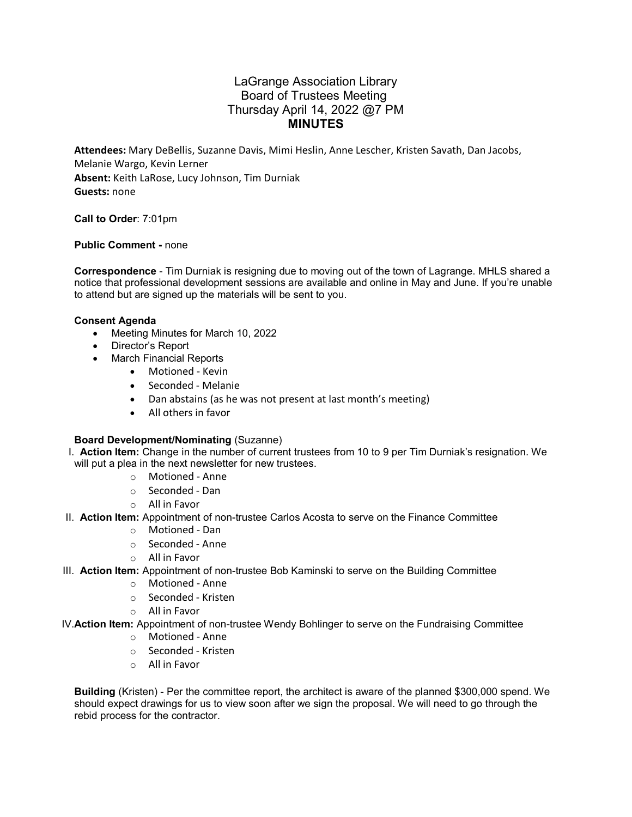# LaGrange Association Library Board of Trustees Meeting Thursday April 14, 2022 @7 PM **MINUTES**

**Attendees:** Mary DeBellis, Suzanne Davis, Mimi Heslin, Anne Lescher, Kristen Savath, Dan Jacobs, Melanie Wargo, Kevin Lerner **Absent:** Keith LaRose, Lucy Johnson, Tim Durniak **Guests:** none

**Call to Order**: 7:01pm

**Public Comment -** none

**Correspondence** - Tim Durniak is resigning due to moving out of the town of Lagrange. MHLS shared a notice that professional development sessions are available and online in May and June. If you're unable to attend but are signed up the materials will be sent to you.

### **Consent Agenda**

- Meeting Minutes for March 10, 2022
- Director's Report
- March Financial Reports
	- Motioned Kevin
	- Seconded Melanie
	- Dan abstains (as he was not present at last month's meeting)
	- All others in favor

#### **Board Development/Nominating** (Suzanne)

- I. **Action Item:** Change in the number of current trustees from 10 to 9 per Tim Durniak's resignation. We will put a plea in the next newsletter for new trustees.
	- o Motioned Anne
	- o Seconded Dan
	- o All in Favor
- II. **Action Item:** Appointment of non-trustee Carlos Acosta to serve on the Finance Committee
	- o Motioned Dan
	- o Seconded Anne
	- o All in Favor
- III. **Action Item:** Appointment of non-trustee Bob Kaminski to serve on the Building Committee
	- o Motioned Anne
	- o Seconded Kristen
	- o All in Favor
- IV.**Action Item:** Appointment of non-trustee Wendy Bohlinger to serve on the Fundraising Committee
	- o Motioned Anne
	- o Seconded Kristen
	- o All in Favor

**Building** (Kristen) - Per the committee report, the architect is aware of the planned \$300,000 spend. We should expect drawings for us to view soon after we sign the proposal. We will need to go through the rebid process for the contractor.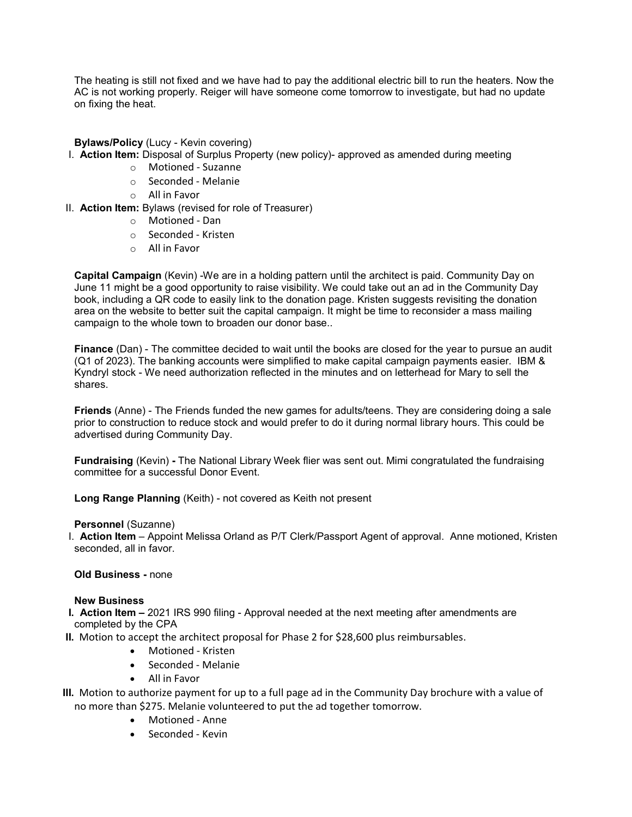The heating is still not fixed and we have had to pay the additional electric bill to run the heaters. Now the AC is not working properly. Reiger will have someone come tomorrow to investigate, but had no update on fixing the heat.

**Bylaws/Policy** (Lucy - Kevin covering)

- I. **Action Item:** Disposal of Surplus Property (new policy)- approved as amended during meeting
	- o Motioned Suzanne
	- o Seconded Melanie
	- o All in Favor
- II. **Action Item:** Bylaws (revised for role of Treasurer)
	- o Motioned Dan
	- o Seconded Kristen
	- o All in Favor

**Capital Campaign** (Kevin) -We are in a holding pattern until the architect is paid. Community Day on June 11 might be a good opportunity to raise visibility. We could take out an ad in the Community Day book, including a QR code to easily link to the donation page. Kristen suggests revisiting the donation area on the website to better suit the capital campaign. It might be time to reconsider a mass mailing campaign to the whole town to broaden our donor base..

**Finance** (Dan) - The committee decided to wait until the books are closed for the year to pursue an audit (Q1 of 2023). The banking accounts were simplified to make capital campaign payments easier. IBM & Kyndryl stock - We need authorization reflected in the minutes and on letterhead for Mary to sell the shares.

**Friends** (Anne) - The Friends funded the new games for adults/teens. They are considering doing a sale prior to construction to reduce stock and would prefer to do it during normal library hours. This could be advertised during Community Day.

**Fundraising** (Kevin) **-** The National Library Week flier was sent out. Mimi congratulated the fundraising committee for a successful Donor Event.

**Long Range Planning** (Keith) - not covered as Keith not present

#### **Personnel** (Suzanne)

I. **Action Item** – Appoint Melissa Orland as P/T Clerk/Passport Agent of approval. Anne motioned, Kristen seconded, all in favor.

#### **Old Business -** none

#### **New Business**

- **I. Action Item –** 2021 IRS 990 filing Approval needed at the next meeting after amendments are completed by the CPA
- **II.** Motion to accept the architect proposal for Phase 2 for \$28,600 plus reimbursables.
	- Motioned Kristen
	- Seconded Melanie
	- All in Favor
- **III.** Motion to authorize payment for up to a full page ad in the Community Day brochure with a value of no more than \$275. Melanie volunteered to put the ad together tomorrow.
	- Motioned Anne
	- Seconded Kevin